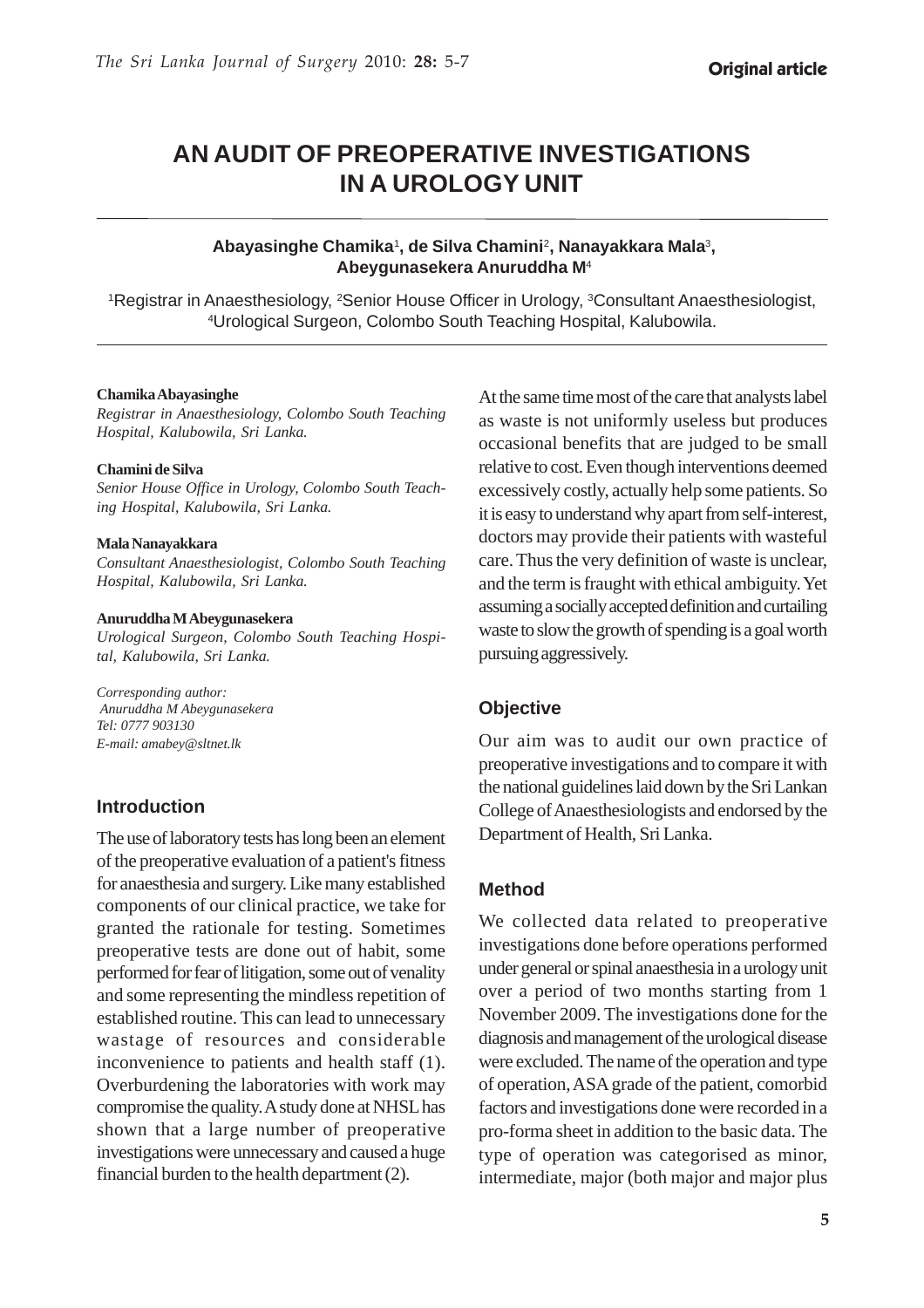# **AN AUDIT OF PREOPERATIVE INVESTIGATIONS IN A UROLOGY UNIT**

### **Abayasinghe Chamika**<sup>1</sup> **, de Silva Chamini**<sup>2</sup> **, Nanayakkara Mala**<sup>3</sup> **, Abeygunasekera Anuruddha M**<sup>4</sup>

<sup>1</sup>Registrar in Anaesthesiology, <sup>2</sup>Senior House Officer in Urology, <sup>3</sup>Consultant Anaesthesiologist, 4 Urological Surgeon, Colombo South Teaching Hospital, Kalubowila.

#### **Chamika Abayasinghe**

*Registrar in Anaesthesiology, Colombo South Teaching Hospital, Kalubowila, Sri Lanka.*

#### **Chamini de Silva**

*Senior House Office in Urology, Colombo South Teaching Hospital, Kalubowila, Sri Lanka.*

#### **Mala Nanayakkara**

*Consultant Anaesthesiologist, Colombo South Teaching Hospital, Kalubowila, Sri Lanka.*

#### **Anuruddha M Abeygunasekera**

*Urological Surgeon, Colombo South Teaching Hospital, Kalubowila, Sri Lanka.*

*Corresponding author: Anuruddha M Abeygunasekera Tel: 0777 903130 E-mail: amabey@sltnet.lk*

### **Introduction**

The use of laboratory tests has long been an element of the preoperative evaluation of a patient's fitness for anaesthesia and surgery. Like many established components of our clinical practice, we take for granted the rationale for testing. Sometimes preoperative tests are done out of habit, some performed for fear of litigation, some out of venality and some representing the mindless repetition of established routine. This can lead to unnecessary wastage of resources and considerable inconvenience to patients and health staff (1). Overburdening the laboratories with work may compromise the quality. A study done at NHSL has shown that a large number of preoperative investigations were unnecessary and caused a huge financial burden to the health department (2).

At the same time most of the care that analysts label as waste is not uniformly useless but produces occasional benefits that are judged to be small relative to cost. Even though interventions deemed excessively costly, actually help some patients. So it is easy to understand why apart from self-interest, doctors may provide their patients with wasteful care. Thus the very definition of waste is unclear, and the term is fraught with ethical ambiguity. Yet assuming a socially accepted definition and curtailing waste to slow the growth of spending is a goal worth pursuing aggressively.

### **Objective**

Our aim was to audit our own practice of preoperative investigations and to compare it with the national guidelines laid down by the Sri Lankan College of Anaesthesiologists and endorsed by the Department of Health, Sri Lanka.

#### **Method**

We collected data related to preoperative investigations done before operations performed under general or spinal anaesthesia in a urology unit over a period of two months starting from 1 November 2009. The investigations done for the diagnosis and management of the urological disease were excluded. The name of the operation and type of operation, ASA grade of the patient, comorbid factors and investigations done were recorded in a pro-forma sheet in addition to the basic data. The type of operation was categorised as minor, intermediate, major (both major and major plus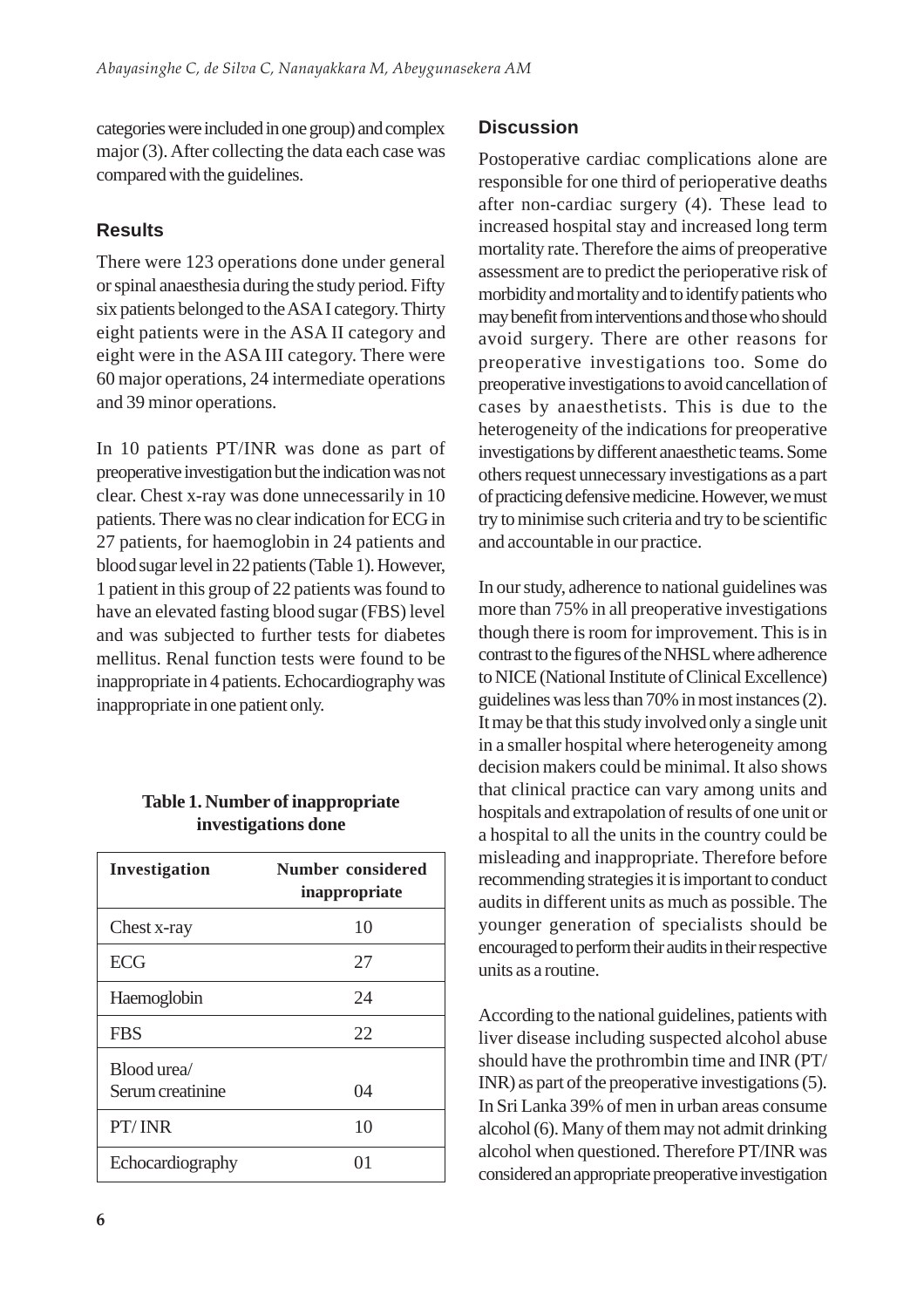categories were included in one group) and complex major (3). After collecting the data each case was compared with the guidelines.

## **Results**

There were 123 operations done under general or spinal anaesthesia during the study period. Fifty six patients belonged to the ASA I category. Thirty eight patients were in the ASA II category and eight were in the ASA III category. There were 60 major operations, 24 intermediate operations and 39 minor operations.

In 10 patients PT/INR was done as part of preoperative investigation but the indication was not clear. Chest x-ray was done unnecessarily in 10 patients. There was no clear indication for ECG in 27 patients, for haemoglobin in 24 patients and blood sugar level in 22 patients (Table 1). However, 1 patient in this group of 22 patients was found to have an elevated fasting blood sugar (FBS) level and was subjected to further tests for diabetes mellitus. Renal function tests were found to be inappropriate in 4 patients. Echocardiography was inappropriate in one patient only.

## **Table 1. Number of inappropriate investigations done**

| Investigation                   | <b>Number considered</b><br>inappropriate |
|---------------------------------|-------------------------------------------|
| Chest x-ray                     | 10                                        |
| <b>ECG</b>                      | 27                                        |
| Haemoglobin                     | 24                                        |
| <b>FBS</b>                      | 22                                        |
| Blood urea/<br>Serum creatinine | 04                                        |
| PT/INR                          | 10                                        |
| Echocardiography                | $^{(1)}$                                  |

## **Discussion**

Postoperative cardiac complications alone are responsible for one third of perioperative deaths after non-cardiac surgery (4). These lead to increased hospital stay and increased long term mortality rate. Therefore the aims of preoperative assessment are to predict the perioperative risk of morbidity and mortality and to identify patients who may benefit from interventions and those who should avoid surgery. There are other reasons for preoperative investigations too. Some do preoperative investigations to avoid cancellation of cases by anaesthetists. This is due to the heterogeneity of the indications for preoperative investigations by different anaesthetic teams. Some others request unnecessary investigations as a part of practicing defensive medicine. However, we must try to minimise such criteria and try to be scientific and accountable in our practice.

In our study, adherence to national guidelines was more than 75% in all preoperative investigations though there is room for improvement. This is in contrast to the figures of the NHSL where adherence to NICE (National Institute of Clinical Excellence) guidelines was less than 70% in most instances (2). It may be that this study involved only a single unit in a smaller hospital where heterogeneity among decision makers could be minimal. It also shows that clinical practice can vary among units and hospitals and extrapolation of results of one unit or a hospital to all the units in the country could be misleading and inappropriate. Therefore before recommending strategies it is important to conduct audits in different units as much as possible. The younger generation of specialists should be encouraged to perform their audits in their respective units as a routine.

According to the national guidelines, patients with liver disease including suspected alcohol abuse should have the prothrombin time and INR (PT/ INR) as part of the preoperative investigations (5). In Sri Lanka 39% of men in urban areas consume alcohol (6). Many of them may not admit drinking alcohol when questioned. Therefore PT/INR was considered an appropriate preoperative investigation